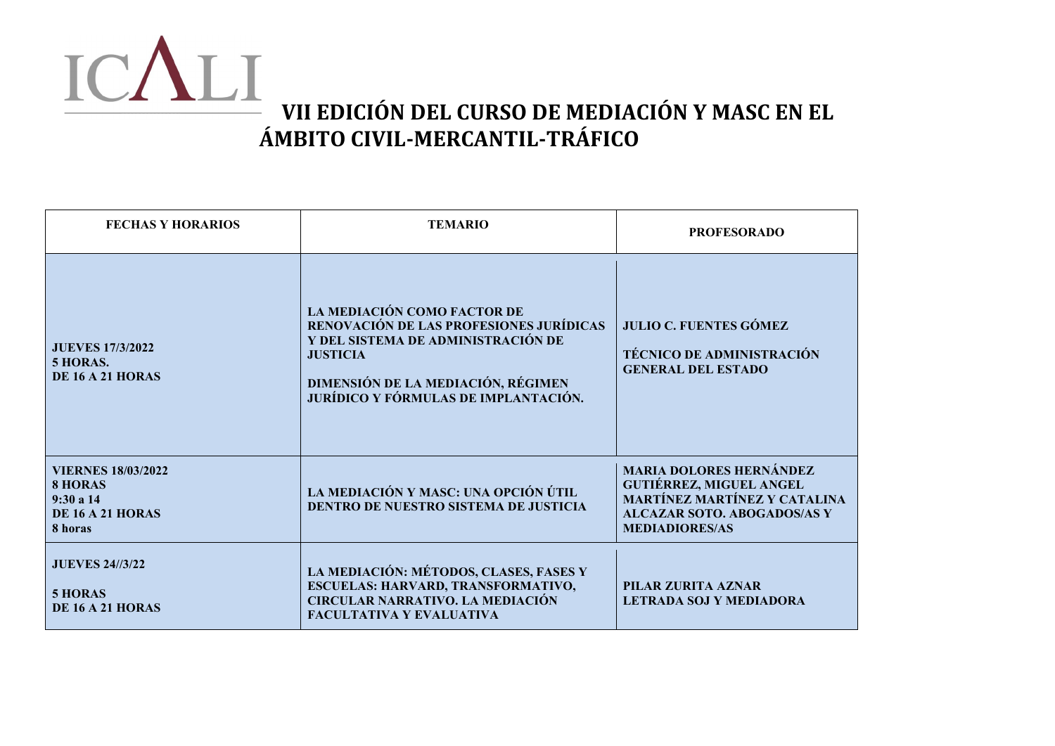

| <b>FECHAS Y HORARIOS</b>                                                              | <b>TEMARIO</b>                                                                                                                                                                                                              | <b>PROFESORADO</b>                                                                                                                                                     |
|---------------------------------------------------------------------------------------|-----------------------------------------------------------------------------------------------------------------------------------------------------------------------------------------------------------------------------|------------------------------------------------------------------------------------------------------------------------------------------------------------------------|
| <b>JUEVES 17/3/2022</b><br>5 HORAS.<br>DE 16 A 21 HORAS                               | <b>LA MEDIACIÓN COMO FACTOR DE</b><br>RENOVACIÓN DE LAS PROFESIONES JURÍDICAS<br>Y DEL SISTEMA DE ADMINISTRACIÓN DE<br><b>JUSTICIA</b><br>DIMENSIÓN DE LA MEDIACIÓN, RÉGIMEN<br><b>JURÍDICO Y FÓRMULAS DE IMPLANTACIÓN.</b> | <b>JULIO C. FUENTES GÓMEZ</b><br>TÉCNICO DE ADMINISTRACIÓN<br><b>GENERAL DEL ESTADO</b>                                                                                |
| <b>VIERNES 18/03/2022</b><br><b>8 HORAS</b><br>9:30a14<br>DE 16 A 21 HORAS<br>8 horas | LA MEDIACIÓN Y MASC: UNA OPCIÓN ÚTIL<br>DENTRO DE NUESTRO SISTEMA DE JUSTICIA                                                                                                                                               | <b>MARIA DOLORES HERNÁNDEZ</b><br><b>GUTIÉRREZ, MIGUEL ANGEL</b><br><b>MARTÍNEZ MARTÍNEZ Y CATALINA</b><br><b>ALCAZAR SOTO. ABOGADOS/AS Y</b><br><b>MEDIADIORES/AS</b> |
| <b>JUEVES 24//3/22</b><br><b>5 HORAS</b><br>DE 16 A 21 HORAS                          | LA MEDIACIÓN: MÉTODOS, CLASES, FASES Y<br>ESCUELAS: HARVARD, TRANSFORMATIVO,<br><b>CIRCULAR NARRATIVO. LA MEDIACIÓN</b><br><b>FACULTATIVA Y EVALUATIVA</b>                                                                  | PILAR ZURITA AZNAR<br><b>LETRADA SOJ Y MEDIADORA</b>                                                                                                                   |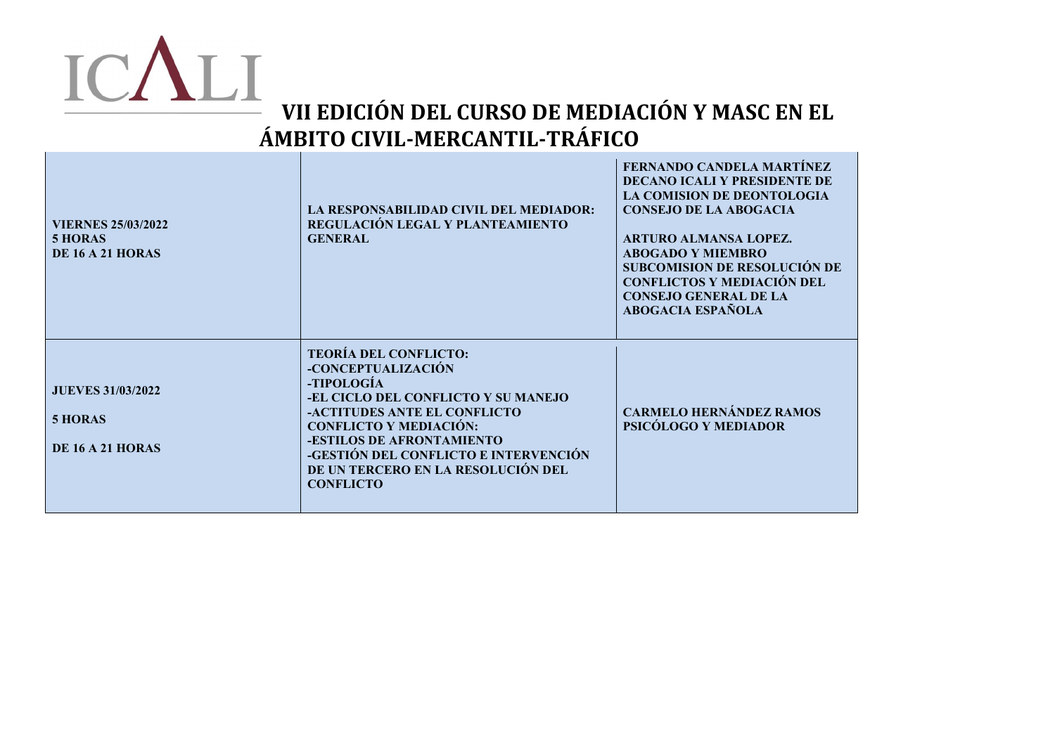

| <b>VIERNES 25/03/2022</b><br>5 HORAS<br><b>DE 16 A 21 HORAS</b> | LA RESPONSABILIDAD CIVIL DEL MEDIADOR:<br>REGULACIÓN LEGAL Y PLANTEAMIENTO<br><b>GENERAL</b>                                                                                                                                                                                                                    | <b>FERNANDO CANDELA MARTÍNEZ</b><br><b>DECANO ICALI Y PRESIDENTE DE</b><br><b>LA COMISION DE DEONTOLOGIA</b><br><b>CONSEJO DE LA ABOGACIA</b><br><b>ARTURO ALMANSA LOPEZ.</b><br><b>ABOGADO Y MIEMBRO</b><br><b>SUBCOMISION DE RESOLUCIÓN DE</b><br><b>CONFLICTOS Y MEDIACIÓN DEL</b><br><b>CONSEJO GENERAL DE LA</b><br>ABOGACIA ESPAÑOLA |
|-----------------------------------------------------------------|-----------------------------------------------------------------------------------------------------------------------------------------------------------------------------------------------------------------------------------------------------------------------------------------------------------------|--------------------------------------------------------------------------------------------------------------------------------------------------------------------------------------------------------------------------------------------------------------------------------------------------------------------------------------------|
| <b>JUEVES 31/03/2022</b><br>5 HORAS<br>DE 16 A 21 HORAS         | <b>TEORÍA DEL CONFLICTO:</b><br>-CONCEPTUALIZACIÓN<br>-TIPOLOGÍA<br>-EL CICLO DEL CONFLICTO Y SU MANEJO<br>-ACTITUDES ANTE EL CONFLICTO<br><b>CONFLICTO Y MEDIACIÓN:</b><br><b>-ESTILOS DE AFRONTAMIENTO</b><br>-GESTIÓN DEL CONFLICTO E INTERVENCIÓN<br>DE UN TERCERO EN LA RESOLUCIÓN DEL<br><b>CONFLICTO</b> | <b>CARMELO HERNÁNDEZ RAMOS</b><br>PSICÓLOGO Y MEDIADOR                                                                                                                                                                                                                                                                                     |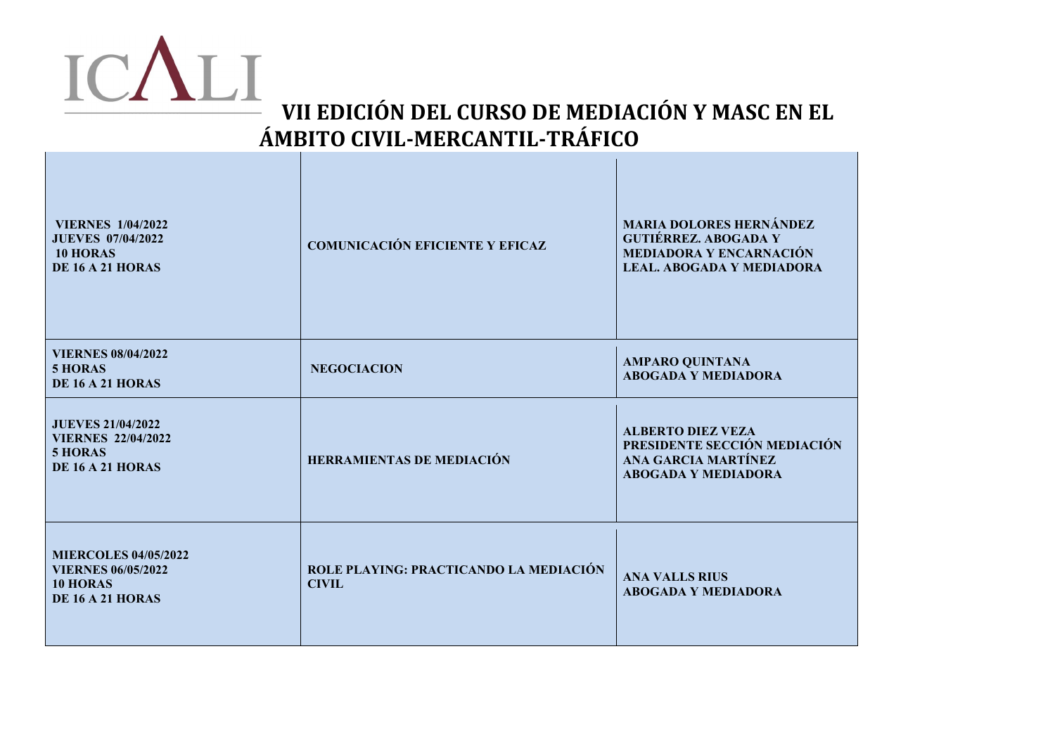

| <b>VIERNES 1/04/2022</b><br><b>JUEVES 07/04/2022</b><br><b>10 HORAS</b><br><b>DE 16 A 21 HORAS</b>     | <b>COMUNICACIÓN EFICIENTE Y EFICAZ</b>                 | <b>MARIA DOLORES HERNÁNDEZ</b><br><b>GUTIÉRREZ. ABOGADA Y</b><br><b>MEDIADORA Y ENCARNACIÓN</b><br><b>LEAL. ABOGADA Y MEDIADORA</b> |
|--------------------------------------------------------------------------------------------------------|--------------------------------------------------------|-------------------------------------------------------------------------------------------------------------------------------------|
| <b>VIERNES 08/04/2022</b><br>5 HORAS<br>DE 16 A 21 HORAS                                               | <b>NEGOCIACION</b>                                     | <b>AMPARO QUINTANA</b><br><b>ABOGADA Y MEDIADORA</b>                                                                                |
| <b>JUEVES 21/04/2022</b><br><b>VIERNES 22/04/2022</b><br>5 HORAS<br><b>DE 16 A 21 HORAS</b>            | <b>HERRAMIENTAS DE MEDIACIÓN</b>                       | <b>ALBERTO DIEZ VEZA</b><br>PRESIDENTE SECCIÓN MEDIACIÓN<br>ANA GARCIA MARTÍNEZ<br><b>ABOGADA Y MEDIADORA</b>                       |
| <b>MIERCOLES 04/05/2022</b><br><b>VIERNES 06/05/2022</b><br><b>10 HORAS</b><br><b>DE 16 A 21 HORAS</b> | ROLE PLAYING: PRACTICANDO LA MEDIACIÓN<br><b>CIVIL</b> | <b>ANA VALLS RIUS</b><br><b>ABOGADA Y MEDIADORA</b>                                                                                 |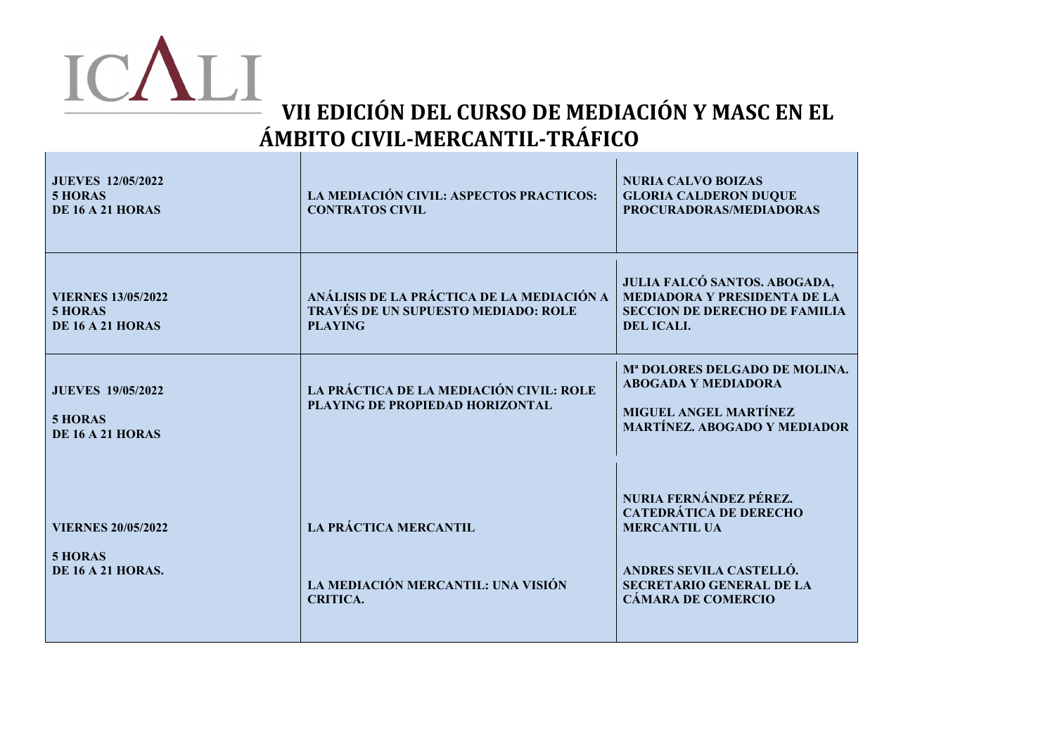

| <b>JUEVES 12/05/2022</b><br>5 HORAS<br>DE 16 A 21 HORAS          | LA MEDIACIÓN CIVIL: ASPECTOS PRACTICOS:<br><b>CONTRATOS CIVIL</b>                                  | <b>NURIA CALVO BOIZAS</b><br><b>GLORIA CALDERON DUQUE</b><br>PROCURADORAS/MEDIADORAS                                                                                      |
|------------------------------------------------------------------|----------------------------------------------------------------------------------------------------|---------------------------------------------------------------------------------------------------------------------------------------------------------------------------|
| <b>VIERNES 13/05/2022</b><br>5 HORAS<br>DE 16 A 21 HORAS         | ANÁLISIS DE LA PRÁCTICA DE LA MEDIACIÓN A<br>TRAVÉS DE UN SUPUESTO MEDIADO: ROLE<br><b>PLAYING</b> | JULIA FALCÓ SANTOS. ABOGADA,<br><b>MEDIADORA Y PRESIDENTA DE LA</b><br><b>SECCION DE DERECHO DE FAMILIA</b><br>DEL ICALL                                                  |
| <b>JUEVES 19/05/2022</b><br><b>5 HORAS</b><br>DE 16 A 21 HORAS   | LA PRÁCTICA DE LA MEDIACIÓN CIVIL: ROLE<br>PLAYING DE PROPIEDAD HORIZONTAL                         | M <sup>a</sup> DOLORES DELGADO DE MOLINA.<br><b>ABOGADA Y MEDIADORA</b><br><b>MIGUEL ANGEL MARTÍNEZ</b><br><b>MARTÍNEZ. ABOGADO Y MEDIADOR</b>                            |
| <b>VIERNES 20/05/2022</b><br>5 HORAS<br><b>DE 16 A 21 HORAS.</b> | <b>LA PRÁCTICA MERCANTIL</b><br>LA MEDIACIÓN MERCANTIL: UNA VISIÓN<br><b>CRITICA.</b>              | NURIA FERNÁNDEZ PÉREZ.<br><b>CATEDRÁTICA DE DERECHO</b><br><b>MERCANTIL UA</b><br>ANDRES SEVILA CASTELLÓ.<br><b>SECRETARIO GENERAL DE LA</b><br><b>CÁMARA DE COMERCIO</b> |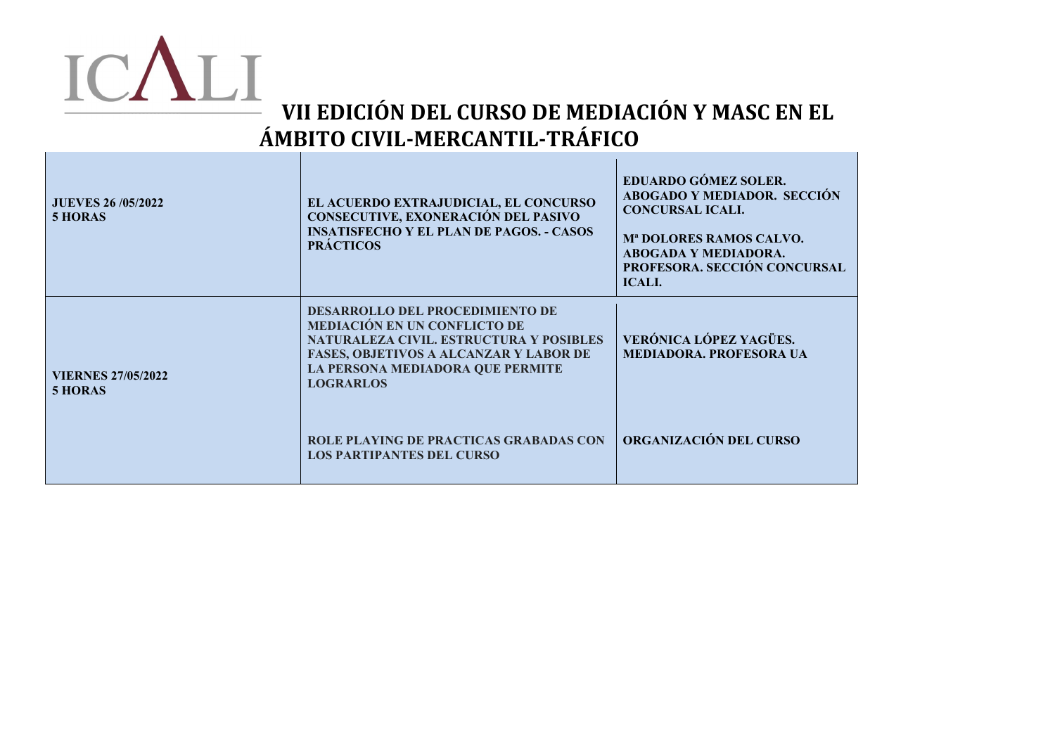

| <b>JUEVES 26/05/2022</b><br>5 HORAS  | EL ACUERDO EXTRAJUDICIAL, EL CONCURSO<br>CONSECUTIVE, EXONERACIÓN DEL PASIVO<br><b>INSATISFECHO Y EL PLAN DE PAGOS. - CASOS</b><br><b>PRÁCTICOS</b>                                                                                      | <b>EDUARDO GÓMEZ SOLER.</b><br><b>ABOGADO Y MEDIADOR. SECCIÓN</b><br><b>CONCURSAL ICALI.</b><br>M <sup>a</sup> DOLORES RAMOS CALVO.<br>ABOGADA Y MEDIADORA.<br>PROFESORA. SECCIÓN CONCURSAL<br><b>ICALI.</b> |
|--------------------------------------|------------------------------------------------------------------------------------------------------------------------------------------------------------------------------------------------------------------------------------------|--------------------------------------------------------------------------------------------------------------------------------------------------------------------------------------------------------------|
| <b>VIERNES 27/05/2022</b><br>5 HORAS | <b>DESARROLLO DEL PROCEDIMIENTO DE</b><br><b>MEDIACIÓN EN UN CONFLICTO DE</b><br><b>NATURALEZA CIVIL. ESTRUCTURA Y POSIBLES</b><br><b>FASES, OBJETIVOS A ALCANZAR Y LABOR DE</b><br>LA PERSONA MEDIADORA QUE PERMITE<br><b>LOGRARLOS</b> | <b>VERÓNICA LÓPEZ YAGÜES.</b><br><b>MEDIADORA. PROFESORA UA</b>                                                                                                                                              |
|                                      | <b>ROLE PLAYING DE PRACTICAS GRABADAS CON</b><br><b>LOS PARTIPANTES DEL CURSO</b>                                                                                                                                                        | ORGANIZACIÓN DEL CURSO                                                                                                                                                                                       |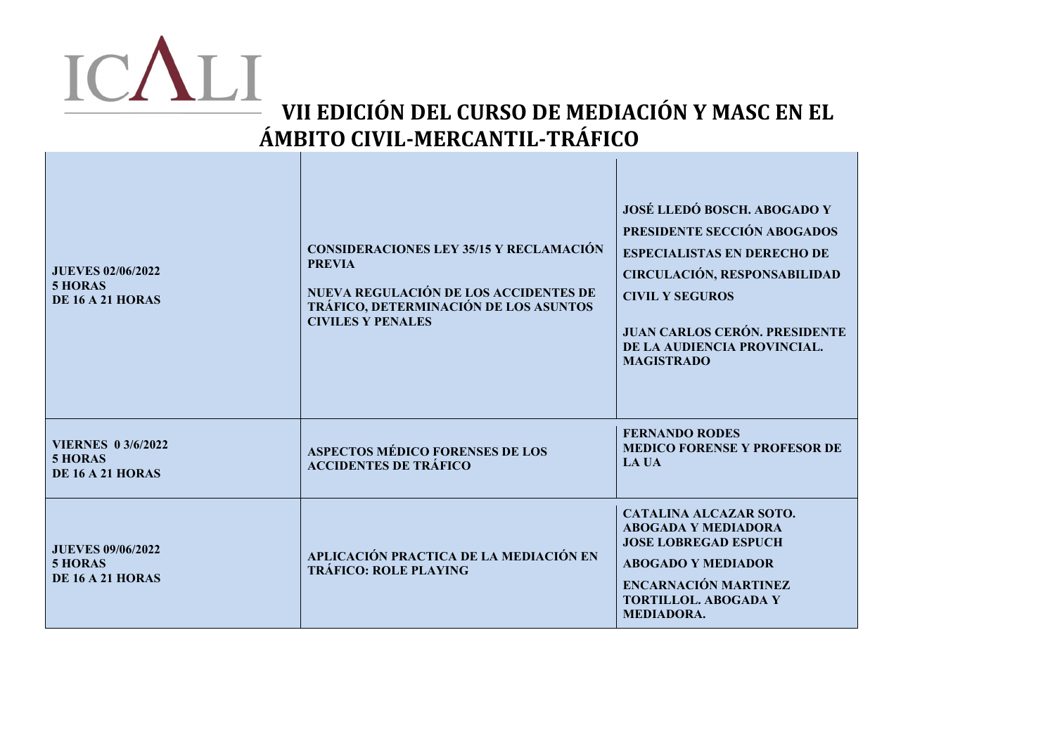

| <b>JUEVES 02/06/2022</b><br>5 HORAS<br><b>DE 16 A 21 HORAS</b> | <b>CONSIDERACIONES LEY 35/15 Y RECLAMACIÓN</b><br><b>PREVIA</b><br>NUEVA REGULACIÓN DE LOS ACCIDENTES DE<br>TRÁFICO, DETERMINACIÓN DE LOS ASUNTOS<br><b>CIVILES Y PENALES</b> | JOSÉ LLEDÓ BOSCH. ABOGADO Y<br>PRESIDENTE SECCIÓN ABOGADOS<br><b>ESPECIALISTAS EN DERECHO DE</b><br><b>CIRCULACIÓN, RESPONSABILIDAD</b><br><b>CIVIL Y SEGUROS</b><br><b>JUAN CARLOS CERÓN. PRESIDENTE</b><br>DE LA AUDIENCIA PROVINCIAL.<br><b>MAGISTRADO</b> |
|----------------------------------------------------------------|-------------------------------------------------------------------------------------------------------------------------------------------------------------------------------|---------------------------------------------------------------------------------------------------------------------------------------------------------------------------------------------------------------------------------------------------------------|
| <b>VIERNES 0 3/6/2022</b><br>5 HORAS<br>DE 16 A 21 HORAS       | <b>ASPECTOS MÉDICO FORENSES DE LOS</b><br><b>ACCIDENTES DE TRÁFICO</b>                                                                                                        | <b>FERNANDO RODES</b><br><b>MEDICO FORENSE Y PROFESOR DE</b><br><b>LA UA</b>                                                                                                                                                                                  |
| <b>JUEVES 09/06/2022</b><br>5 HORAS<br>DE 16 A 21 HORAS        | APLICACIÓN PRACTICA DE LA MEDIACIÓN EN<br><b>TRÁFICO: ROLE PLAYING</b>                                                                                                        | <b>CATALINA ALCAZAR SOTO.</b><br><b>ABOGADA Y MEDIADORA</b><br><b>JOSE LOBREGAD ESPUCH</b><br><b>ABOGADO Y MEDIADOR</b><br>ENCARNACIÓN MARTINEZ<br><b>TORTILLOL. ABOGADA Y</b><br><b>MEDIADORA.</b>                                                           |